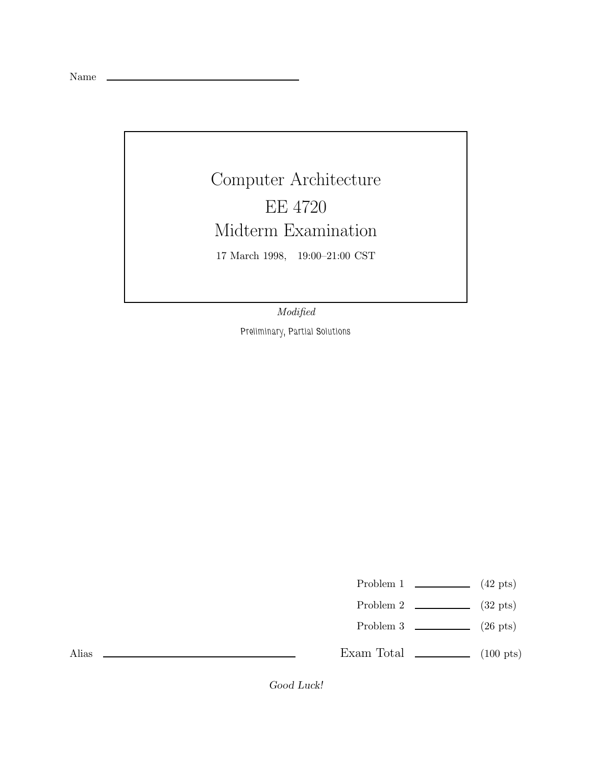Name

## Computer Architecture EE 4720 Midterm Examination 17 March 1998, 19:00–21:00 CST

Modified

*Preliminary, Partial Solutions*

Problem 1  $\qquad \qquad$  (42 pts)

- Problem 2  $\sim$  (32 pts)
- Problem 3  $\qquad \qquad$  (26 pts)

Exam Total  $\qquad \qquad$  (100 pts)

Alias

*Good Luck!*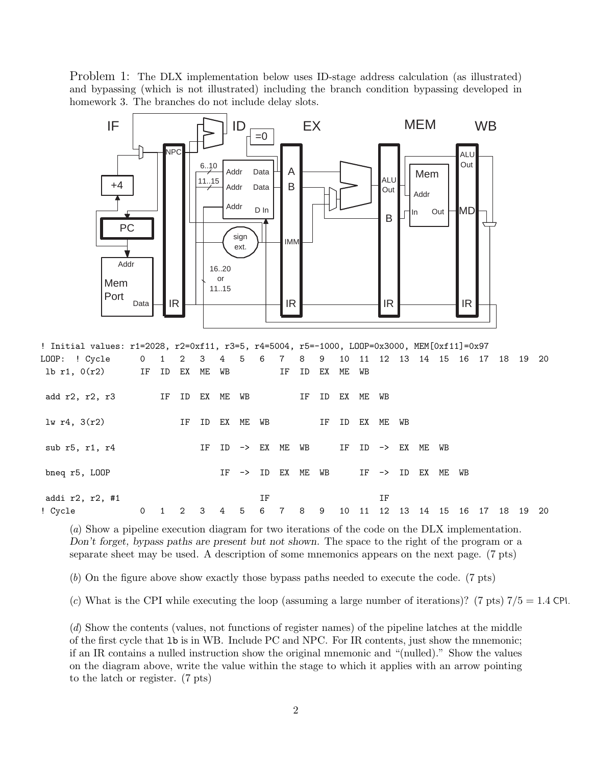Problem 1: The DLX implementation below uses ID-stage address calculation (as illustrated) and bypassing (which is not illustrated) including the branch condition bypassing developed in homework 3. The branches do not include delay slots.



| ! Initial values: r1=2028, r2=0xf11, r3=5, r4=5004, r5=-1000, LOOP=0x3000, MEM[0xf11]=0x97 |              |              |                         |    |          |     |                        |       |    |    |    |       |                     |                  |                      |    |    |    |    |            |  |
|--------------------------------------------------------------------------------------------|--------------|--------------|-------------------------|----|----------|-----|------------------------|-------|----|----|----|-------|---------------------|------------------|----------------------|----|----|----|----|------------|--|
| LOOP: ! Cycle                                                                              | $\mathbf{0}$ |              | 1 2 3 4                 |    |          |     | 5 6                    | 7 8 9 |    |    |    |       |                     |                  | 10 11 12 13 14 15 16 |    |    | 17 |    | 18  19  20 |  |
| lb r1, 0(r2)                                                                               |              | IF ID        | EX ME                   |    | WB       |     |                        | IF    | ID | EХ | ME | WB    |                     |                  |                      |    |    |    |    |            |  |
| add r2, r2, r3                                                                             |              | IF           | ID                      |    | EX ME WB |     |                        |       | IF | ID | EХ | ME    | WB                  |                  |                      |    |    |    |    |            |  |
| 1w r4, 3(r2)                                                                               |              |              | IF                      | ID | EХ       | ME  | WB                     |       |    | ΙF | ID | EХ    | ME                  | WB               |                      |    |    |    |    |            |  |
| sub $r5$ , $r1$ , $r4$                                                                     |              |              |                         | IF |          |     | $ID \rightarrow EX ME$ |       | WB |    | IF | ID    |                     | $\Rightarrow$ EX | ME                   | WB |    |    |    |            |  |
| bneq r5, LOOP                                                                              |              |              |                         |    | IF       |     | $\rightarrow$ ID       | EX    | ME | WB |    |       | $IF \rightarrow IP$ |                  | EX                   | ME | WB |    |    |            |  |
| addi r2, r2, #1                                                                            |              |              |                         |    |          |     | ΙF                     |       |    |    |    |       | ΙF                  |                  |                      |    |    |    |    |            |  |
| ! Cycle                                                                                    | $\mathsf{O}$ | $\mathbf{1}$ | $\overline{\mathbf{2}}$ | 3  |          | 4 5 |                        | 6 7 8 |    | 9  |    | 10 11 |                     | 12 13            | 14 15 16             |    |    | 17 | 18 | 19 20      |  |

(a) Show a pipeline execution diagram for two iterations of the code on the DLX implementation. *Don't forget, bypass paths are present but not shown.* The space to the right of the program or a separate sheet may be used. A description of some mnemonics appears on the next page. (7 pts)

(b) On the figure above show exactly those bypass paths needed to execute the code. (7 pts)

(c) What is the CPI while executing the loop (assuming a large number of iterations)? (7 pts) 7/5=1.4 *CPI.*

(d) Show the contents (values, not functions of register names) of the pipeline latches at the middle of the first cycle that lb is in WB. Include PC and NPC. For IR contents, just show the mnemonic; if an IR contains a nulled instruction show the original mnemonic and "(nulled)." Show the values on the diagram above, write the value within the stage to which it applies with an arrow pointing to the latch or register. (7 pts)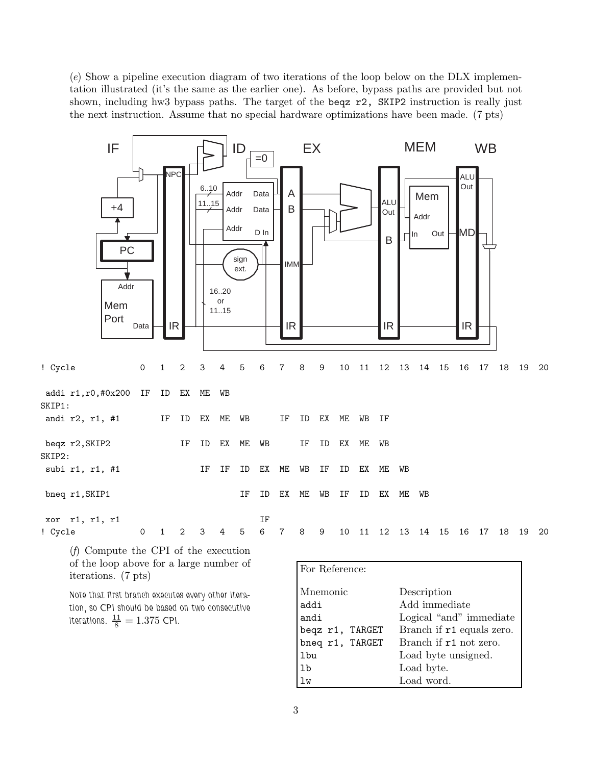(e) Show a pipeline execution diagram of two iterations of the loop below on the DLX implementation illustrated (it's the same as the earlier one). As before, bypass paths are provided but not shown, including hw3 bypass paths. The target of the beqz r2, SKIP2 instruction is really just the next instruction. Assume that no special hardware optimizations have been made. (7 pts)



lb Load byte. lw Load word.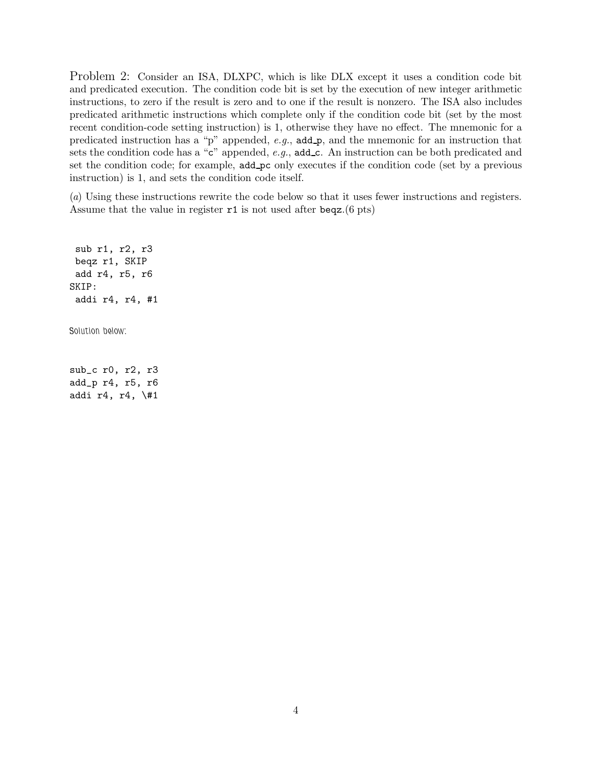Problem 2: Consider an ISA, DLXPC, which is like DLX except it uses a condition code bit and predicated execution. The condition code bit is set by the execution of new integer arithmetic instructions, to zero if the result is zero and to one if the result is nonzero. The ISA also includes predicated arithmetic instructions which complete only if the condition code bit (set by the most recent condition-code setting instruction) is 1, otherwise they have no effect. The mnemonic for a predicated instruction has a "p" appended,  $e.g.,$  add  $\mathbf{p}$ , and the mnemonic for an instruction that sets the condition code has a "c" appended,  $e.g.,$  add\_c. An instruction can be both predicated and set the condition code; for example, add pc only executes if the condition code (set by a previous instruction) is 1, and sets the condition code itself.

(a) Using these instructions rewrite the code below so that it uses fewer instructions and registers. Assume that the value in register  $r1$  is not used after beqz.(6 pts)

sub r1, r2, r3 beqz r1, SKIP add r4, r5, r6 SKIP: addi r4, r4, #1

*Solution below:*

sub\_c r0, r2, r3 add\_p r4, r5, r6 addi r4, r4, \#1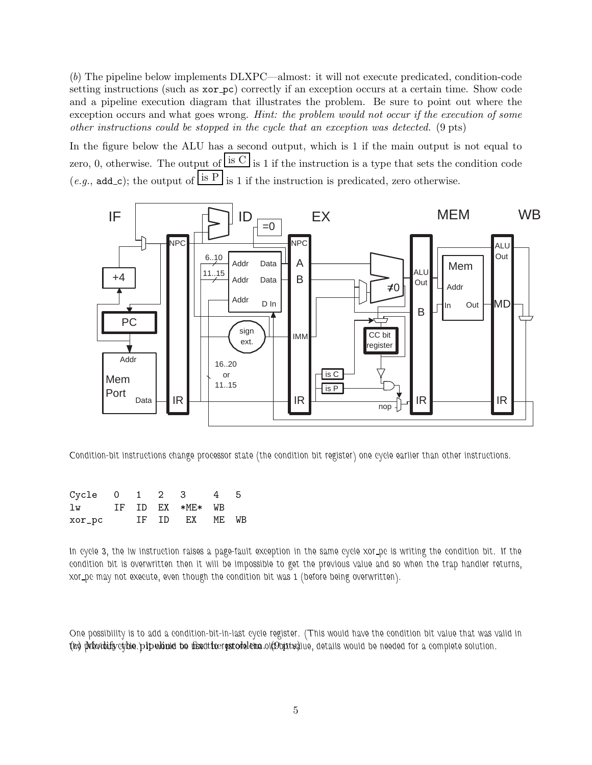(b) The pipeline below implements DLXPC—almost: it will not execute predicated, condition-code setting instructions (such as  $\text{xor\_pc}$ ) correctly if an exception occurs at a certain time. Show code and a pipeline execution diagram that illustrates the problem. Be sure to point out where the exception occurs and what goes wrong. Hint: the problem would not occur if the execution of some other instructions could be stopped in the cycle that an exception was detected. (9 pts)

In the figure below the ALU has a second output, which is 1 if the main output is not equal to zero, 0, otherwise. The output of  $\frac{\ln C}{\ln C}$  is 1 if the instruction is a type that sets the condition code  $(e,q, \text{add-c})$ ; the output of  $\boxed{\text{is } P}$  is 1 if the instruction is predicated, zero otherwise.



*Condition-bit instructions change processor state (the condition bit register) one cycle earlier than other instructions.*

| Cycle 0 1 2 3 4     |  |                | - 5 |
|---------------------|--|----------------|-----|
| lw IF ID EX *ME* WB |  |                |     |
| xor_pc              |  | IF ID EX ME WB |     |

In cycle 3, the lw instruction raises a page-fault exception in the same cycle xor pc is writing the condition bit. If the *condition bit is overwritten then it will be impossible to get the previous value and so when the trap handler returns, xor pc may not execute, even though the condition bit was 1 (before being overwritten).*

*One possibility is to add a condition-bit-in-last cycle register. (This would have the condition bit value that was valid in the previous cycle.* Dipulsime be used to restore the old bit value, details would be needed for a complete solution.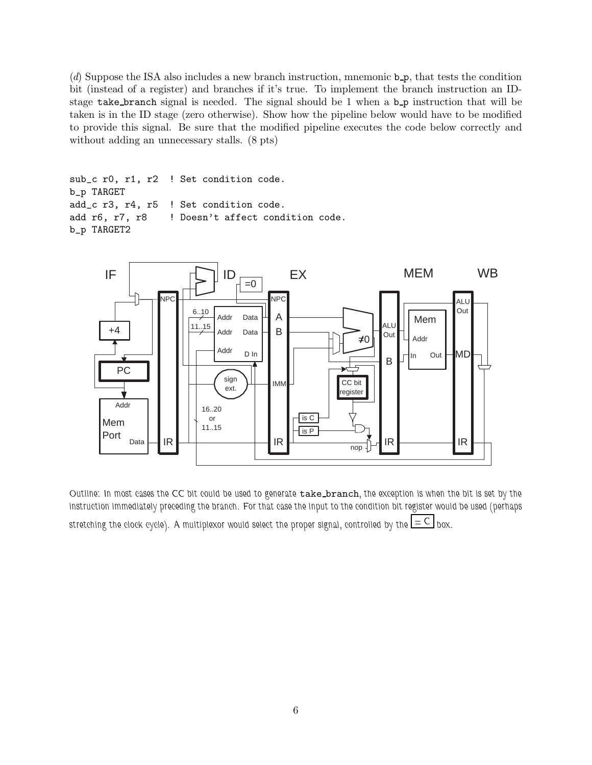(d) Suppose the ISA also includes a new branch instruction, mnemonic  $b_p$ , that tests the condition bit (instead of a register) and branches if it's true. To implement the branch instruction an IDstage take branch signal is needed. The signal should be 1 when a b<sub>-p</sub> instruction that will be taken is in the ID stage (zero otherwise). Show how the pipeline below would have to be modified to provide this signal. Be sure that the modified pipeline executes the code below correctly and without adding an unnecessary stalls.  $(8 \text{ pts})$ 

```
sub_c r0, r1, r2 ! Set condition code.
b_p TARGET
add_c r3, r4, r5 ! Set condition code.
add r6, r7, r8 | Doesn't affect condition code.
b_p TARGET2
```


*Outline: In most cases the CC bit could be used to generate* take\_branch, the exception is when the bit is set by the *instruction immediately preceding the branch. For that case the input to the condition bit register would be used (perhaps stretching the clock cycle). A multiplexor would select the proper signal, controlled by the*  $= C \cdot b$  *box.*